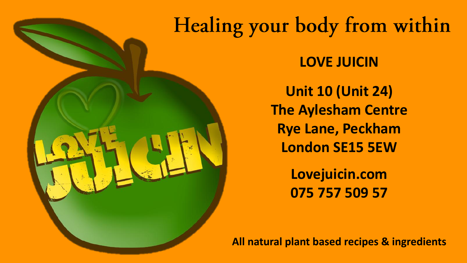# Healing your body from within

**LOVE JUICIN**

**Unit 10 (Unit 24) The Aylesham Centre Rye Lane, Peckham London SE15 5EW**

> **Lovejuicin.com 075 757 509 57**

**All natural plant based recipes & ingredients**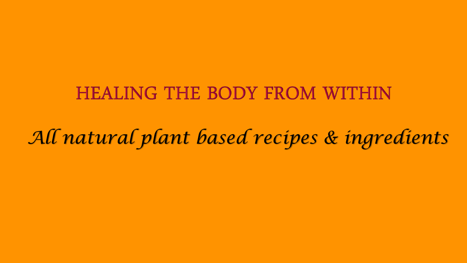# **HEALING THE BODY FROM WITHIN**

*All natural plant based recipes & ingredients*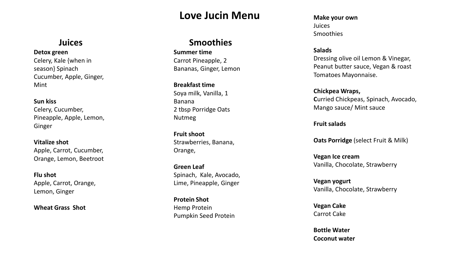## **Love Jucin Menu**

## **Juices**

**Detox green** 

Celery, Kale {when in season} Spinach Cucumber, Apple, Ginger, Mint

**Sun kiss**  Celery, Cucumber, Pineapple, Apple, Lemon, Ginger

**Vitalize shot** Apple, Carrot, Cucumber, Orange, Lemon, Beetroot

**Flu shot**  Apple, Carrot, Orange, Lemon, Ginger

**Wheat Grass Shot**

### **Smoothies**

**Summer time**  Carrot Pineapple, 2 Bananas, Ginger, Lemon

**Breakfast time** Soya milk, Vanilla, 1 Banana 2 tbsp Porridge Oats Nutmeg

**Fruit shoot** Strawberries, Banana, Orange,

**Green Leaf** Spinach, Kale, Avocado, Lime, Pineapple, Ginger

**Protein Shot** Hemp Protein Pumpkin Seed Protein **Make your own** Juices Smoothies

**Salads** 

Dressing olive oil Lemon & Vinegar, Peanut butter sauce, Vegan & roast Tomatoes Mayonnaise.

**Chickpea Wraps, C**urried Chickpeas, Spinach, Avocado, Mango sauce/ Mint sauce

**Fruit salads**

**Oats Porridge** (select Fruit & Milk)

**Vegan Ice cream**  Vanilla, Chocolate, Strawberry

**Vegan yogurt** Vanilla, Chocolate, Strawberry

**Vegan Cake** Carrot Cake

**Bottle Water Coconut water**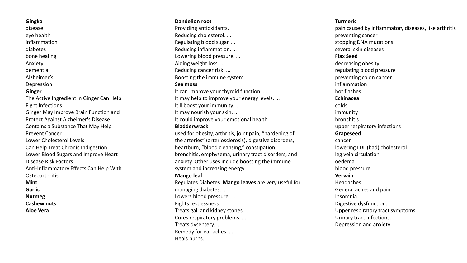#### **Gingko**

disease eye health inflammation diabetes bone healing Anxiety dementia Alzheimer's Depression **Ginger** The Active Ingredient in Ginger Can Help Fight Infections

Ginger May Improve Brain Function and Protect Against Alzheimer's Disease Contains a Substance That May Help Prevent Cancer Lower Cholesterol Levels Can Help Treat Chronic Indigestion Lower Blood Sugars and Improve Heart Disease Risk Factors Anti-Inflammatory Effects Can Help With **Osteoarthritis Mint Garlic Nutmeg Cashew nuts**

**Aloe Vera**

#### **Dandelion root**

Providing antioxidants. Reducing cholesterol. ... Regulating blood sugar. ... Reducing inflammation. ... Lowering blood pressure. ... Aiding weight loss. ... Reducing cancer risk. ... Boosting the immune system **Sea moss** It can improve your thyroid function. ... It may help to improve your energy levels. ... It'll boost your immunity. ... It may nourish your skin. ... It could improve your emotional health **Bladderwrack** used for obesity, arthritis, joint pain, "hardening of the arteries" (arteriosclerosis), digestive disorders, heartburn, "blood cleansing," constipation, bronchitis, emphysema, urinary tract disorders, and anxiety. Other uses include boosting the immune system and increasing energy. **Mango leaf** Regulates Diabetes. **Mango leaves** are very useful for

managing diabetes. ... Lowers blood pressure. ... Fights restlessness. ... Treats gall and kidney stones. ... Cures respiratory problems. ... Treats dysentery. ... Remedy for ear aches. ... Heals burns.

#### **Turmeric**

pain caused by inflammatory diseases, like arthritis preventing cancer stopping DNA mutations several skin diseases **Flax Seed** decreasing obesity regulating blood pressure preventing colon cancer inflammation hot flashes **Echinacea** colds immunity bronchitis upper respiratory infections **Grapeseed** cancer lowering LDL (bad) cholesterol leg vein circulation oedema blood pressure **Vervain** Headaches. General aches and pain. Insomnia. Digestive dysfunction. Upper respiratory tract symptoms. Urinary tract infections. Depression and anxiety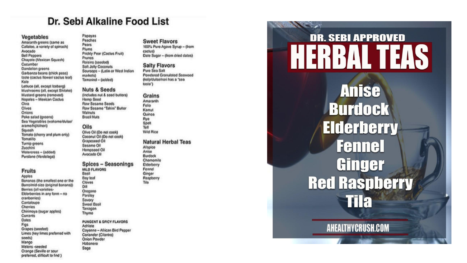## Dr. Sebi Alkaline Food List

#### Vegetables

Amaranth greens (same as Callaloo, a variety of spinach) Avocado **Bell Peppers** Chayote (Mexican Squash) Cucumber Dandelion greens Garbanzo beans (chick peas) Izoto (cactus flower/ cactus leat) Kale Lettuce (all, except looberg) Mushrooms (all, except Shitake) Mustard greens (removed) Nopales - Mexican Cactus Okra Olives Onions Poko salad (greens) Sea Vegetables (wakame/duise/ arame/hijiki/nori) Squash Tomato (cherry and plum only) Tomatillo Turnip greens Zucchini Watercress - (added) Purslane (Verdelaga)

#### **Fruits**

Apples Bananas (the smallest one or the Burrolmid-size (original banana)) Borrios (all variotios-Elderberries in any form - no cranberries) Cantaloupe Cherries Chirimoya (sugar apples) Currants **Dates** Figs Grapes (seeded) Limes (key limes preferred with seeds) Mango Melons -seeded Orange (Seville or sour preferred, difficult to find )

Papayas Peaches Pears Plums Prickly Pear (Cactus Fruit) Prunos Raisins (seeded) Soft Jolly Coconuls Soursops - (Latin or West Indian markets) Tamarind - (added)

#### **Nuts & Seeds** (Includes nut & seed butters) Hemp Seed Raw Sesamo Seeds Raw Sesamo "Tahini" Buttor Walnuts

**Brazil Nuts** Oils Olive Oil (Do not cook) Coconut Oil (Do not cook) Graposeed Oil Sesamo Oil Hempseed Oil Avocado Oil

#### **Spices - Seasonings MILO FLAVORS** Basil

**Bay loaf** Cloves **Dill** Oregano Parstey Savory Sweet Basil Tarragon Thymo PUNGENT & SPICY FLAVORS Achiote

Cayenne - African Bird Pepper Coriander (Cilantro) Onion Powder Habanero Sage

#### **Sweet Flavors**

100% Pure Agave Syrup - (from cactus) Date Sugar - (from dried dates)

#### **Salty Flavors**

Puro Soa Salt Powdered Granulated Seawood (kelp/dulse/nori has a "sea ("elzal

**Grains** Amaranth Folio Kamut Quinoa Rye<br>Spelt Toff Wild Rice

#### **Natural Herbal Teas**

Alispice Anise **Burdock** Chamomile Elderberry Fennel Ginger

Raspberry

Tila

# **DR. SEBI APPROVED**

**DANSIER** 

93.67

**Anise Burdock Elderberry Fennel** Ginger **Red Raspberry Tila** 

**AHEALTHYCRUSH.COM**